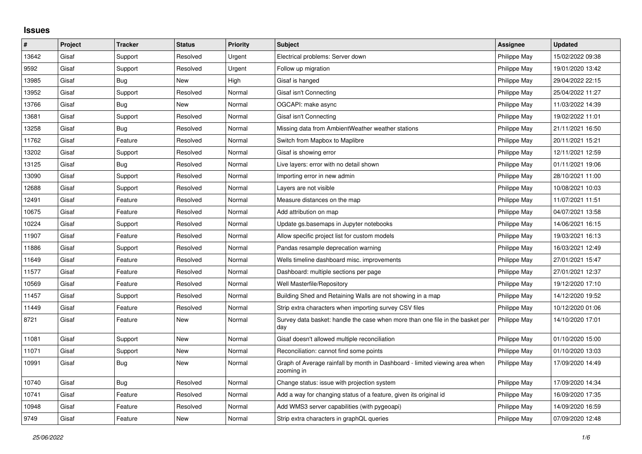## **Issues**

| #     | Project | <b>Tracker</b> | <b>Status</b> | <b>Priority</b> | <b>Subject</b>                                                                            | Assignee     | <b>Updated</b>   |
|-------|---------|----------------|---------------|-----------------|-------------------------------------------------------------------------------------------|--------------|------------------|
| 13642 | Gisaf   | Support        | Resolved      | Urgent          | Electrical problems: Server down                                                          | Philippe May | 15/02/2022 09:38 |
| 9592  | Gisaf   | Support        | Resolved      | Urgent          | Follow up migration                                                                       | Philippe May | 19/01/2020 13:42 |
| 13985 | Gisaf   | Bug            | New           | High            | Gisaf is hanged                                                                           | Philippe May | 29/04/2022 22:15 |
| 13952 | Gisaf   | Support        | Resolved      | Normal          | Gisaf isn't Connecting                                                                    | Philippe May | 25/04/2022 11:27 |
| 13766 | Gisaf   | <b>Bug</b>     | New           | Normal          | OGCAPI: make async                                                                        | Philippe May | 11/03/2022 14:39 |
| 13681 | Gisaf   | Support        | Resolved      | Normal          | Gisaf isn't Connecting                                                                    | Philippe May | 19/02/2022 11:01 |
| 13258 | Gisaf   | <b>Bug</b>     | Resolved      | Normal          | Missing data from AmbientWeather weather stations                                         | Philippe May | 21/11/2021 16:50 |
| 11762 | Gisaf   | Feature        | Resolved      | Normal          | Switch from Mapbox to Maplibre                                                            | Philippe May | 20/11/2021 15:21 |
| 13202 | Gisaf   | Support        | Resolved      | Normal          | Gisaf is showing error                                                                    | Philippe May | 12/11/2021 12:59 |
| 13125 | Gisaf   | Bug            | Resolved      | Normal          | Live layers: error with no detail shown                                                   | Philippe May | 01/11/2021 19:06 |
| 13090 | Gisaf   | Support        | Resolved      | Normal          | Importing error in new admin                                                              | Philippe May | 28/10/2021 11:00 |
| 12688 | Gisaf   | Support        | Resolved      | Normal          | Layers are not visible                                                                    | Philippe May | 10/08/2021 10:03 |
| 12491 | Gisaf   | Feature        | Resolved      | Normal          | Measure distances on the map                                                              | Philippe May | 11/07/2021 11:51 |
| 10675 | Gisaf   | Feature        | Resolved      | Normal          | Add attribution on map                                                                    | Philippe May | 04/07/2021 13:58 |
| 10224 | Gisaf   | Support        | Resolved      | Normal          | Update gs.basemaps in Jupyter notebooks                                                   | Philippe May | 14/06/2021 16:15 |
| 11907 | Gisaf   | Feature        | Resolved      | Normal          | Allow specific project list for custom models                                             | Philippe May | 19/03/2021 16:13 |
| 11886 | Gisaf   | Support        | Resolved      | Normal          | Pandas resample deprecation warning                                                       | Philippe May | 16/03/2021 12:49 |
| 11649 | Gisaf   | Feature        | Resolved      | Normal          | Wells timeline dashboard misc. improvements                                               | Philippe May | 27/01/2021 15:47 |
| 11577 | Gisaf   | Feature        | Resolved      | Normal          | Dashboard: multiple sections per page                                                     | Philippe May | 27/01/2021 12:37 |
| 10569 | Gisaf   | Feature        | Resolved      | Normal          | Well Masterfile/Repository                                                                | Philippe May | 19/12/2020 17:10 |
| 11457 | Gisaf   | Support        | Resolved      | Normal          | Building Shed and Retaining Walls are not showing in a map                                | Philippe May | 14/12/2020 19:52 |
| 11449 | Gisaf   | Feature        | Resolved      | Normal          | Strip extra characters when importing survey CSV files                                    | Philippe May | 10/12/2020 01:06 |
| 8721  | Gisaf   | Feature        | New           | Normal          | Survey data basket: handle the case when more than one file in the basket per<br>day      | Philippe May | 14/10/2020 17:01 |
| 11081 | Gisaf   | Support        | <b>New</b>    | Normal          | Gisaf doesn't allowed multiple reconciliation                                             | Philippe May | 01/10/2020 15:00 |
| 11071 | Gisaf   | Support        | New           | Normal          | Reconciliation: cannot find some points                                                   | Philippe May | 01/10/2020 13:03 |
| 10991 | Gisaf   | Bug            | New           | Normal          | Graph of Average rainfall by month in Dashboard - limited viewing area when<br>zooming in | Philippe May | 17/09/2020 14:49 |
| 10740 | Gisaf   | <b>Bug</b>     | Resolved      | Normal          | Change status: issue with projection system                                               | Philippe May | 17/09/2020 14:34 |
| 10741 | Gisaf   | Feature        | Resolved      | Normal          | Add a way for changing status of a feature, given its original id                         | Philippe May | 16/09/2020 17:35 |
| 10948 | Gisaf   | Feature        | Resolved      | Normal          | Add WMS3 server capabilities (with pygeoapi)                                              | Philippe May | 14/09/2020 16:59 |
| 9749  | Gisaf   | Feature        | New           | Normal          | Strip extra characters in graphQL queries                                                 | Philippe May | 07/09/2020 12:48 |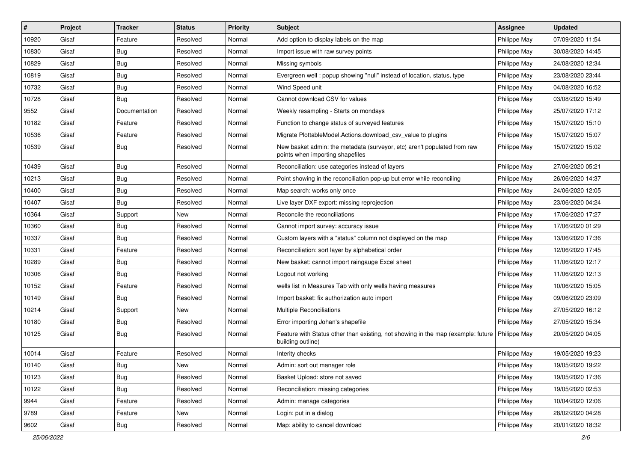| #     | Project | <b>Tracker</b> | <b>Status</b> | Priority | Subject                                                                                                              | <b>Assignee</b>     | <b>Updated</b>   |
|-------|---------|----------------|---------------|----------|----------------------------------------------------------------------------------------------------------------------|---------------------|------------------|
| 10920 | Gisaf   | Feature        | Resolved      | Normal   | Add option to display labels on the map                                                                              | Philippe May        | 07/09/2020 11:54 |
| 10830 | Gisaf   | <b>Bug</b>     | Resolved      | Normal   | Import issue with raw survey points                                                                                  | Philippe May        | 30/08/2020 14:45 |
| 10829 | Gisaf   | <b>Bug</b>     | Resolved      | Normal   | Missing symbols                                                                                                      | Philippe May        | 24/08/2020 12:34 |
| 10819 | Gisaf   | <b>Bug</b>     | Resolved      | Normal   | Evergreen well: popup showing "null" instead of location, status, type                                               | Philippe May        | 23/08/2020 23:44 |
| 10732 | Gisaf   | Bug            | Resolved      | Normal   | Wind Speed unit                                                                                                      | Philippe May        | 04/08/2020 16:52 |
| 10728 | Gisaf   | Bug            | Resolved      | Normal   | Cannot download CSV for values                                                                                       | Philippe May        | 03/08/2020 15:49 |
| 9552  | Gisaf   | Documentation  | Resolved      | Normal   | Weekly resampling - Starts on mondays                                                                                | Philippe May        | 25/07/2020 17:12 |
| 10182 | Gisaf   | Feature        | Resolved      | Normal   | Function to change status of surveyed features                                                                       | Philippe May        | 15/07/2020 15:10 |
| 10536 | Gisaf   | Feature        | Resolved      | Normal   | Migrate PlottableModel.Actions.download csv value to plugins                                                         | Philippe May        | 15/07/2020 15:07 |
| 10539 | Gisaf   | <b>Bug</b>     | Resolved      | Normal   | New basket admin: the metadata (surveyor, etc) aren't populated from raw<br>points when importing shapefiles         | Philippe May        | 15/07/2020 15:02 |
| 10439 | Gisaf   | <b>Bug</b>     | Resolved      | Normal   | Reconciliation: use categories instead of layers                                                                     | Philippe May        | 27/06/2020 05:21 |
| 10213 | Gisaf   | Bug            | Resolved      | Normal   | Point showing in the reconciliation pop-up but error while reconciling                                               | Philippe May        | 26/06/2020 14:37 |
| 10400 | Gisaf   | <b>Bug</b>     | Resolved      | Normal   | Map search: works only once                                                                                          | Philippe May        | 24/06/2020 12:05 |
| 10407 | Gisaf   | <b>Bug</b>     | Resolved      | Normal   | Live layer DXF export: missing reprojection                                                                          | Philippe May        | 23/06/2020 04:24 |
| 10364 | Gisaf   | Support        | New           | Normal   | Reconcile the reconciliations                                                                                        | Philippe May        | 17/06/2020 17:27 |
| 10360 | Gisaf   | Bug            | Resolved      | Normal   | Cannot import survey: accuracy issue                                                                                 | Philippe May        | 17/06/2020 01:29 |
| 10337 | Gisaf   | Bug            | Resolved      | Normal   | Custom layers with a "status" column not displayed on the map                                                        | <b>Philippe May</b> | 13/06/2020 17:36 |
| 10331 | Gisaf   | Feature        | Resolved      | Normal   | Reconciliation: sort layer by alphabetical order                                                                     | Philippe May        | 12/06/2020 17:45 |
| 10289 | Gisaf   | <b>Bug</b>     | Resolved      | Normal   | New basket: cannot import raingauge Excel sheet                                                                      | Philippe May        | 11/06/2020 12:17 |
| 10306 | Gisaf   | <b>Bug</b>     | Resolved      | Normal   | Logout not working                                                                                                   | Philippe May        | 11/06/2020 12:13 |
| 10152 | Gisaf   | Feature        | Resolved      | Normal   | wells list in Measures Tab with only wells having measures                                                           | Philippe May        | 10/06/2020 15:05 |
| 10149 | Gisaf   | Bug            | Resolved      | Normal   | Import basket: fix authorization auto import                                                                         | Philippe May        | 09/06/2020 23:09 |
| 10214 | Gisaf   | Support        | New           | Normal   | <b>Multiple Reconciliations</b>                                                                                      | Philippe May        | 27/05/2020 16:12 |
| 10180 | Gisaf   | <b>Bug</b>     | Resolved      | Normal   | Error importing Johan's shapefile                                                                                    | Philippe May        | 27/05/2020 15:34 |
| 10125 | Gisaf   | Bug            | Resolved      | Normal   | Feature with Status other than existing, not showing in the map (example: future   Philippe May<br>building outline) |                     | 20/05/2020 04:05 |
| 10014 | Gisaf   | Feature        | Resolved      | Normal   | Interity checks                                                                                                      | Philippe May        | 19/05/2020 19:23 |
| 10140 | Gisaf   | Bug            | New           | Normal   | Admin: sort out manager role                                                                                         | Philippe May        | 19/05/2020 19:22 |
| 10123 | Gisaf   | Bug            | Resolved      | Normal   | Basket Upload: store not saved                                                                                       | Philippe May        | 19/05/2020 17:36 |
| 10122 | Gisaf   | <b>Bug</b>     | Resolved      | Normal   | Reconciliation: missing categories                                                                                   | Philippe May        | 19/05/2020 02:53 |
| 9944  | Gisaf   | Feature        | Resolved      | Normal   | Admin: manage categories                                                                                             | Philippe May        | 10/04/2020 12:06 |
| 9789  | Gisaf   | Feature        | New           | Normal   | Login: put in a dialog                                                                                               | Philippe May        | 28/02/2020 04:28 |
| 9602  | Gisaf   | Bug            | Resolved      | Normal   | Map: ability to cancel download                                                                                      | Philippe May        | 20/01/2020 18:32 |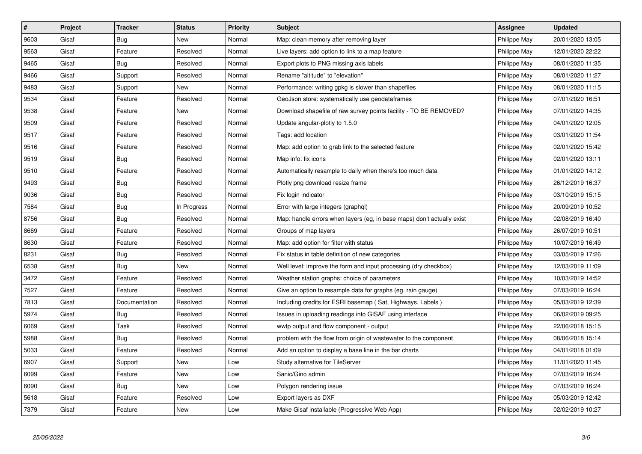| $\vert$ # | Project | <b>Tracker</b> | <b>Status</b> | <b>Priority</b> | <b>Subject</b>                                                         | <b>Assignee</b> | <b>Updated</b>   |
|-----------|---------|----------------|---------------|-----------------|------------------------------------------------------------------------|-----------------|------------------|
| 9603      | Gisaf   | Bug            | <b>New</b>    | Normal          | Map: clean memory after removing layer                                 | Philippe May    | 20/01/2020 13:05 |
| 9563      | Gisaf   | Feature        | Resolved      | Normal          | Live layers: add option to link to a map feature                       | Philippe May    | 12/01/2020 22:22 |
| 9465      | Gisaf   | Bug            | Resolved      | Normal          | Export plots to PNG missing axis labels                                | Philippe May    | 08/01/2020 11:35 |
| 9466      | Gisaf   | Support        | Resolved      | Normal          | Rename "altitude" to "elevation"                                       | Philippe May    | 08/01/2020 11:27 |
| 9483      | Gisaf   | Support        | New           | Normal          | Performance: writing gpkg is slower than shapefiles                    | Philippe May    | 08/01/2020 11:15 |
| 9534      | Gisaf   | Feature        | Resolved      | Normal          | GeoJson store: systematically use geodataframes                        | Philippe May    | 07/01/2020 16:51 |
| 9538      | Gisaf   | Feature        | <b>New</b>    | Normal          | Download shapefile of raw survey points facility - TO BE REMOVED?      | Philippe May    | 07/01/2020 14:35 |
| 9509      | Gisaf   | Feature        | Resolved      | Normal          | Update angular-plotly to 1.5.0                                         | Philippe May    | 04/01/2020 12:05 |
| 9517      | Gisaf   | Feature        | Resolved      | Normal          | Tags: add location                                                     | Philippe May    | 03/01/2020 11:54 |
| 9516      | Gisaf   | Feature        | Resolved      | Normal          | Map: add option to grab link to the selected feature                   | Philippe May    | 02/01/2020 15:42 |
| 9519      | Gisaf   | Bug            | Resolved      | Normal          | Map info: fix icons                                                    | Philippe May    | 02/01/2020 13:11 |
| 9510      | Gisaf   | Feature        | Resolved      | Normal          | Automatically resample to daily when there's too much data             | Philippe May    | 01/01/2020 14:12 |
| 9493      | Gisaf   | <b>Bug</b>     | Resolved      | Normal          | Plotly png download resize frame                                       | Philippe May    | 26/12/2019 16:37 |
| 9036      | Gisaf   | <b>Bug</b>     | Resolved      | Normal          | Fix login indicator                                                    | Philippe May    | 03/10/2019 15:15 |
| 7584      | Gisaf   | Bug            | In Progress   | Normal          | Error with large integers (graphql)                                    | Philippe May    | 20/09/2019 10:52 |
| 8756      | Gisaf   | <b>Bug</b>     | Resolved      | Normal          | Map: handle errors when layers (eg, in base maps) don't actually exist | Philippe May    | 02/08/2019 16:40 |
| 8669      | Gisaf   | Feature        | Resolved      | Normal          | Groups of map layers                                                   | Philippe May    | 26/07/2019 10:51 |
| 8630      | Gisaf   | Feature        | Resolved      | Normal          | Map: add option for filter with status                                 | Philippe May    | 10/07/2019 16:49 |
| 8231      | Gisaf   | Bug            | Resolved      | Normal          | Fix status in table definition of new categories                       | Philippe May    | 03/05/2019 17:26 |
| 6538      | Gisaf   | Bug            | <b>New</b>    | Normal          | Well level: improve the form and input processing (dry checkbox)       | Philippe May    | 12/03/2019 11:09 |
| 3472      | Gisaf   | Feature        | Resolved      | Normal          | Weather station graphs: choice of parameters                           | Philippe May    | 10/03/2019 14:52 |
| 7527      | Gisaf   | Feature        | Resolved      | Normal          | Give an option to resample data for graphs (eg. rain gauge)            | Philippe May    | 07/03/2019 16:24 |
| 7813      | Gisaf   | Documentation  | Resolved      | Normal          | Including credits for ESRI basemap (Sat, Highways, Labels)             | Philippe May    | 05/03/2019 12:39 |
| 5974      | Gisaf   | Bug            | Resolved      | Normal          | Issues in uploading readings into GISAF using interface                | Philippe May    | 06/02/2019 09:25 |
| 6069      | Gisaf   | Task           | Resolved      | Normal          | wwtp output and flow component - output                                | Philippe May    | 22/06/2018 15:15 |
| 5988      | Gisaf   | Bug            | Resolved      | Normal          | problem with the flow from origin of wastewater to the component       | Philippe May    | 08/06/2018 15:14 |
| 5033      | Gisaf   | Feature        | Resolved      | Normal          | Add an option to display a base line in the bar charts                 | Philippe May    | 04/01/2018 01:09 |
| 6907      | Gisaf   | Support        | <b>New</b>    | Low             | Study alternative for TileServer                                       | Philippe May    | 11/01/2020 11:45 |
| 6099      | Gisaf   | Feature        | New           | Low             | Sanic/Gino admin                                                       | Philippe May    | 07/03/2019 16:24 |
| 6090      | Gisaf   | Bug            | New           | Low             | Polygon rendering issue                                                | Philippe May    | 07/03/2019 16:24 |
| 5618      | Gisaf   | Feature        | Resolved      | Low             | Export layers as DXF                                                   | Philippe May    | 05/03/2019 12:42 |
| 7379      | Gisaf   | Feature        | New           | Low             | Make Gisaf installable (Progressive Web App)                           | Philippe May    | 02/02/2019 10:27 |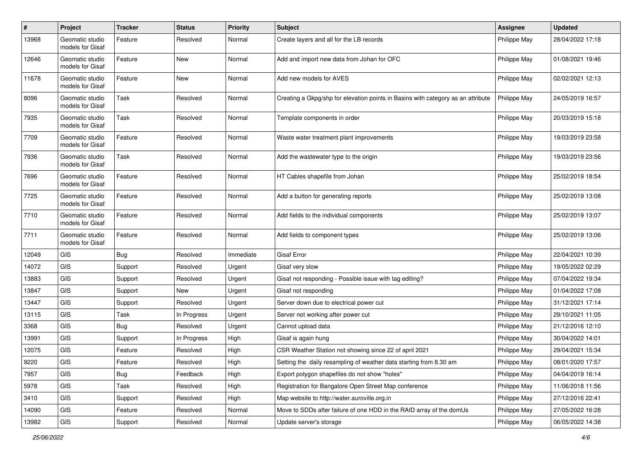| $\#$  | Project                             | <b>Tracker</b> | <b>Status</b> | <b>Priority</b> | <b>Subject</b>                                                                   | <b>Assignee</b> | <b>Updated</b>   |
|-------|-------------------------------------|----------------|---------------|-----------------|----------------------------------------------------------------------------------|-----------------|------------------|
| 13968 | Geomatic studio<br>models for Gisaf | Feature        | Resolved      | Normal          | Create layers and all for the LB records                                         | Philippe May    | 28/04/2022 17:18 |
| 12646 | Geomatic studio<br>models for Gisaf | Feature        | New           | Normal          | Add and import new data from Johan for OFC                                       | Philippe May    | 01/08/2021 19:46 |
| 11678 | Geomatic studio<br>models for Gisaf | Feature        | New           | Normal          | Add new models for AVES                                                          | Philippe May    | 02/02/2021 12:13 |
| 8096  | Geomatic studio<br>models for Gisaf | Task           | Resolved      | Normal          | Creating a Gkpg/shp for elevation points in Basins with category as an attribute | Philippe May    | 24/05/2019 16:57 |
| 7935  | Geomatic studio<br>models for Gisaf | Task           | Resolved      | Normal          | Template components in order                                                     | Philippe May    | 20/03/2019 15:18 |
| 7709  | Geomatic studio<br>models for Gisaf | Feature        | Resolved      | Normal          | Waste water treatment plant improvements                                         | Philippe May    | 19/03/2019 23:58 |
| 7936  | Geomatic studio<br>models for Gisaf | Task           | Resolved      | Normal          | Add the wastewater type to the origin                                            | Philippe May    | 19/03/2019 23:56 |
| 7696  | Geomatic studio<br>models for Gisaf | Feature        | Resolved      | Normal          | HT Cables shapefile from Johan                                                   | Philippe May    | 25/02/2019 18:54 |
| 7725  | Geomatic studio<br>models for Gisaf | Feature        | Resolved      | Normal          | Add a button for generating reports                                              | Philippe May    | 25/02/2019 13:08 |
| 7710  | Geomatic studio<br>models for Gisaf | Feature        | Resolved      | Normal          | Add fields to the individual components                                          | Philippe May    | 25/02/2019 13:07 |
| 7711  | Geomatic studio<br>models for Gisaf | Feature        | Resolved      | Normal          | Add fields to component types                                                    | Philippe May    | 25/02/2019 13:06 |
| 12049 | <b>GIS</b>                          | <b>Bug</b>     | Resolved      | Immediate       | <b>Gisaf Error</b>                                                               | Philippe May    | 22/04/2021 10:39 |
| 14072 | <b>GIS</b>                          | Support        | Resolved      | Urgent          | Gisaf very slow                                                                  | Philippe May    | 19/05/2022 02:29 |
| 13883 | <b>GIS</b>                          | Support        | Resolved      | Urgent          | Gisaf not responding - Possible issue with tag editing?                          | Philippe May    | 07/04/2022 19:34 |
| 13847 | <b>GIS</b>                          | Support        | New           | Urgent          | Gisaf not responding                                                             | Philippe May    | 01/04/2022 17:08 |
| 13447 | <b>GIS</b>                          | Support        | Resolved      | Urgent          | Server down due to electrical power cut                                          | Philippe May    | 31/12/2021 17:14 |
| 13115 | <b>GIS</b>                          | Task           | In Progress   | Urgent          | Server not working after power cut                                               | Philippe May    | 29/10/2021 11:05 |
| 3368  | <b>GIS</b>                          | <b>Bug</b>     | Resolved      | Urgent          | Cannot upload data                                                               | Philippe May    | 21/12/2016 12:10 |
| 13991 | <b>GIS</b>                          | Support        | In Progress   | High            | Gisaf is again hung                                                              | Philippe May    | 30/04/2022 14:01 |
| 12075 | GIS                                 | Feature        | Resolved      | High            | CSR Weather Station not showing since 22 of april 2021                           | Philippe May    | 29/04/2021 15:34 |
| 9220  | GIS                                 | Feature        | Resolved      | High            | Setting the daily resampling of weather data starting from 8.30 am               | Philippe May    | 08/01/2020 17:57 |
| 7957  | GIS                                 | <b>Bug</b>     | Feedback      | High            | Export polygon shapefiles do not show "holes"                                    | Philippe May    | 04/04/2019 16:14 |
| 5978  | <b>GIS</b>                          | Task           | Resolved      | High            | Registration for Bangalore Open Street Map conference                            | Philippe May    | 11/06/2018 11:56 |
| 3410  | <b>GIS</b>                          | Support        | Resolved      | High            | Map website to http://water.auroville.org.in                                     | Philippe May    | 27/12/2016 22:41 |
| 14090 | GIS                                 | Feature        | Resolved      | Normal          | Move to SDDs after failure of one HDD in the RAID array of the domUs             | Philippe May    | 27/05/2022 16:28 |
| 13982 | GIS                                 | Support        | Resolved      | Normal          | Update server's storage                                                          | Philippe May    | 06/05/2022 14:38 |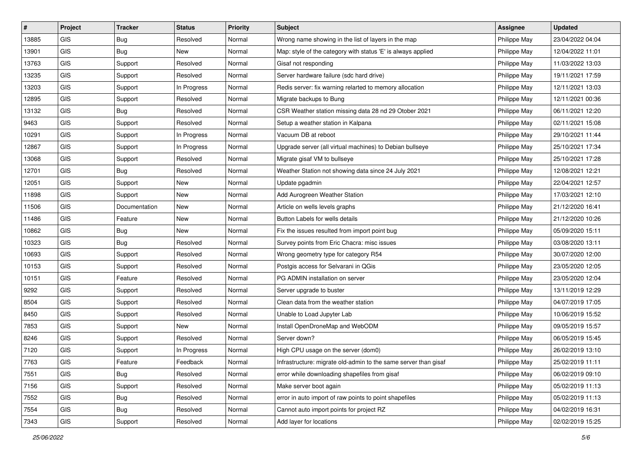| $\vert$ # | Project        | <b>Tracker</b> | <b>Status</b> | <b>Priority</b> | <b>Subject</b>                                                  | <b>Assignee</b> | <b>Updated</b>   |
|-----------|----------------|----------------|---------------|-----------------|-----------------------------------------------------------------|-----------------|------------------|
| 13885     | <b>GIS</b>     | <b>Bug</b>     | Resolved      | Normal          | Wrong name showing in the list of layers in the map             | Philippe May    | 23/04/2022 04:04 |
| 13901     | GIS            | Bug            | New           | Normal          | Map: style of the category with status 'E' is always applied    | Philippe May    | 12/04/2022 11:01 |
| 13763     | GIS            | Support        | Resolved      | Normal          | Gisaf not responding                                            | Philippe May    | 11/03/2022 13:03 |
| 13235     | GIS            | Support        | Resolved      | Normal          | Server hardware failure (sdc hard drive)                        | Philippe May    | 19/11/2021 17:59 |
| 13203     | <b>GIS</b>     | Support        | In Progress   | Normal          | Redis server: fix warning relarted to memory allocation         | Philippe May    | 12/11/2021 13:03 |
| 12895     | <b>GIS</b>     | Support        | Resolved      | Normal          | Migrate backups to Bung                                         | Philippe May    | 12/11/2021 00:36 |
| 13132     | GIS            | <b>Bug</b>     | Resolved      | Normal          | CSR Weather station missing data 28 nd 29 Otober 2021           | Philippe May    | 06/11/2021 12:20 |
| 9463      | GIS            | Support        | Resolved      | Normal          | Setup a weather station in Kalpana                              | Philippe May    | 02/11/2021 15:08 |
| 10291     | GIS            | Support        | In Progress   | Normal          | Vacuum DB at reboot                                             | Philippe May    | 29/10/2021 11:44 |
| 12867     | GIS            | Support        | In Progress   | Normal          | Upgrade server (all virtual machines) to Debian bullseye        | Philippe May    | 25/10/2021 17:34 |
| 13068     | GIS            | Support        | Resolved      | Normal          | Migrate gisaf VM to bullseye                                    | Philippe May    | 25/10/2021 17:28 |
| 12701     | GIS            | <b>Bug</b>     | Resolved      | Normal          | Weather Station not showing data since 24 July 2021             | Philippe May    | 12/08/2021 12:21 |
| 12051     | GIS            | Support        | New           | Normal          | Update pgadmin                                                  | Philippe May    | 22/04/2021 12:57 |
| 11898     | GIS            | Support        | New           | Normal          | Add Aurogreen Weather Station                                   | Philippe May    | 17/03/2021 12:10 |
| 11506     | <b>GIS</b>     | Documentation  | New           | Normal          | Article on wells levels graphs                                  | Philippe May    | 21/12/2020 16:41 |
| 11486     | <b>GIS</b>     | Feature        | New           | Normal          | Button Labels for wells details                                 | Philippe May    | 21/12/2020 10:26 |
| 10862     | GIS            | <b>Bug</b>     | New           | Normal          | Fix the issues resulted from import point bug                   | Philippe May    | 05/09/2020 15:11 |
| 10323     | <b>GIS</b>     | Bug            | Resolved      | Normal          | Survey points from Eric Chacra: misc issues                     | Philippe May    | 03/08/2020 13:11 |
| 10693     | GIS            | Support        | Resolved      | Normal          | Wrong geometry type for category R54                            | Philippe May    | 30/07/2020 12:00 |
| 10153     | GIS            | Support        | Resolved      | Normal          | Postgis access for Selvarani in QGis                            | Philippe May    | 23/05/2020 12:05 |
| 10151     | GIS            | Feature        | Resolved      | Normal          | PG ADMIN installation on server                                 | Philippe May    | 23/05/2020 12:04 |
| 9292      | GIS            | Support        | Resolved      | Normal          | Server upgrade to buster                                        | Philippe May    | 13/11/2019 12:29 |
| 8504      | <b>GIS</b>     | Support        | Resolved      | Normal          | Clean data from the weather station                             | Philippe May    | 04/07/2019 17:05 |
| 8450      | GIS            | Support        | Resolved      | Normal          | Unable to Load Jupyter Lab                                      | Philippe May    | 10/06/2019 15:52 |
| 7853      | GIS            | Support        | New           | Normal          | Install OpenDroneMap and WebODM                                 | Philippe May    | 09/05/2019 15:57 |
| 8246      | GIS            | Support        | Resolved      | Normal          | Server down?                                                    | Philippe May    | 06/05/2019 15:45 |
| 7120      | GIS            | Support        | In Progress   | Normal          | High CPU usage on the server (dom0)                             | Philippe May    | 26/02/2019 13:10 |
| 7763      | GIS            | Feature        | Feedback      | Normal          | Infrastructure: migrate old-admin to the same server than gisaf | Philippe May    | 25/02/2019 11:11 |
| 7551      | <b>GIS</b>     | Bug            | Resolved      | Normal          | error while downloading shapefiles from gisaf                   | Philippe May    | 06/02/2019 09:10 |
| 7156      | GIS            | Support        | Resolved      | Normal          | Make server boot again                                          | Philippe May    | 05/02/2019 11:13 |
| 7552      | GIS            | Bug            | Resolved      | Normal          | error in auto import of raw points to point shapefiles          | Philippe May    | 05/02/2019 11:13 |
| 7554      | GIS            | <b>Bug</b>     | Resolved      | Normal          | Cannot auto import points for project RZ                        | Philippe May    | 04/02/2019 16:31 |
| 7343      | $\mathsf{GIS}$ | Support        | Resolved      | Normal          | Add layer for locations                                         | Philippe May    | 02/02/2019 15:25 |